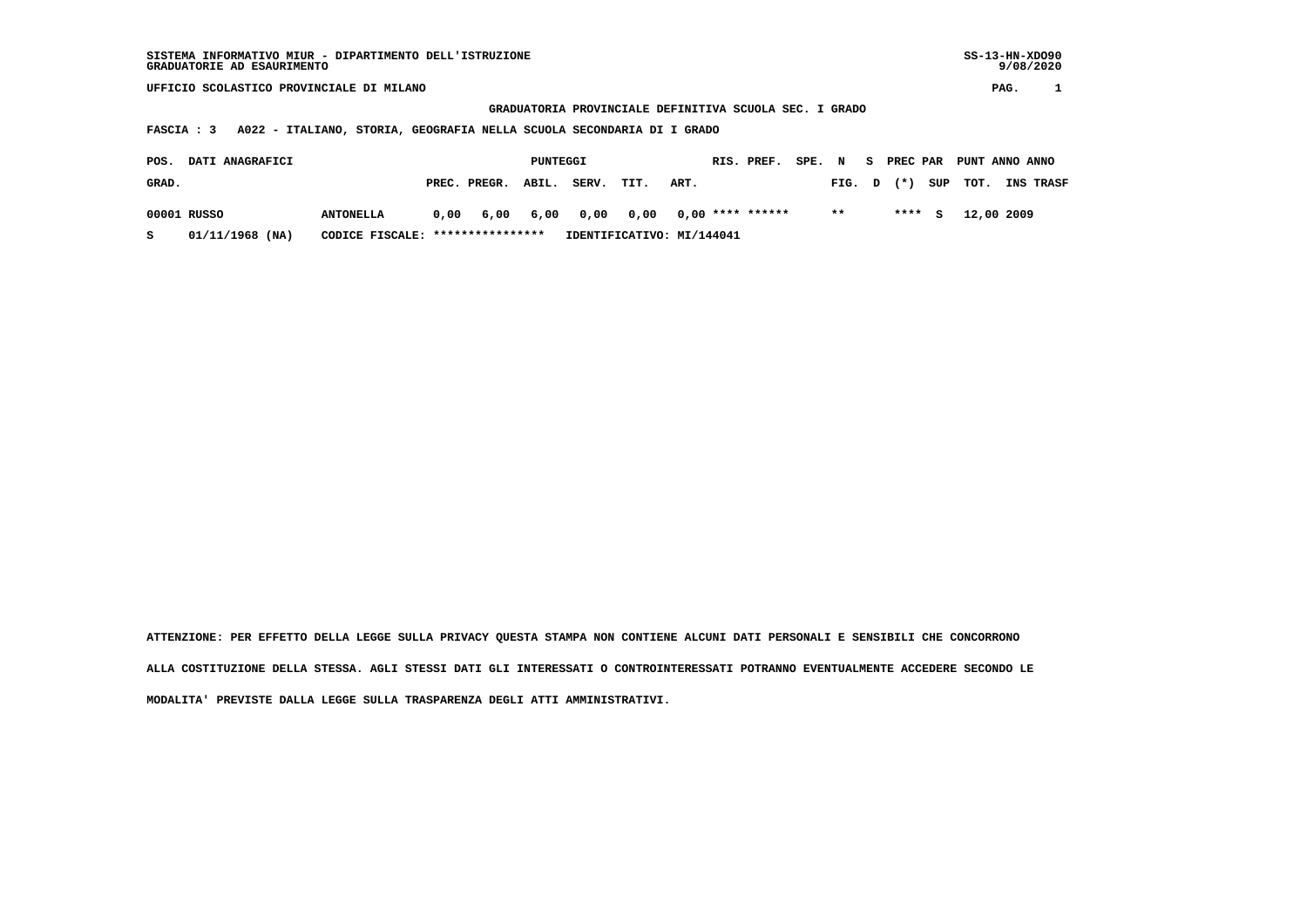**UFFICIO SCOLASTICO PROVINCIALE DI MILANO PAG. 1**

 **GRADUATORIA PROVINCIALE DEFINITIVA SCUOLA SEC. I GRADO**

 **FASCIA : 3 A022 - ITALIANO, STORIA, GEOGRAFIA NELLA SCUOLA SECONDARIA DI I GRADO**

| POS.  | <b>DATI ANAGRAFICI</b> |                                  | PUNTEGGI |              |       |                                 |      |      | RIS. PREF. | SPE. | $\mathbf N$      | s. |         | PREC PAR PUNT ANNO ANNO |           |
|-------|------------------------|----------------------------------|----------|--------------|-------|---------------------------------|------|------|------------|------|------------------|----|---------|-------------------------|-----------|
| GRAD. |                        |                                  |          | PREC. PREGR. | ABIL. | SERV.                           | TIT. | ART. |            |      | $FIG. D (*) SUP$ |    |         | тот.                    | INS TRASF |
|       | 00001 RUSSO            | <b>ANTONELLA</b>                 | 0,00     | 6,00         |       | 6,00 0,00 0,00 0,00 **** ****** |      |      |            |      | $\star\star$     |    | $***$ S | 12,00 2009              |           |
| s     | 01/11/1968 (NA)        | CODICE FISCALE: **************** |          |              |       | IDENTIFICATIVO: MI/144041       |      |      |            |      |                  |    |         |                         |           |

 **ATTENZIONE: PER EFFETTO DELLA LEGGE SULLA PRIVACY QUESTA STAMPA NON CONTIENE ALCUNI DATI PERSONALI E SENSIBILI CHE CONCORRONO ALLA COSTITUZIONE DELLA STESSA. AGLI STESSI DATI GLI INTERESSATI O CONTROINTERESSATI POTRANNO EVENTUALMENTE ACCEDERE SECONDO LE MODALITA' PREVISTE DALLA LEGGE SULLA TRASPARENZA DEGLI ATTI AMMINISTRATIVI.**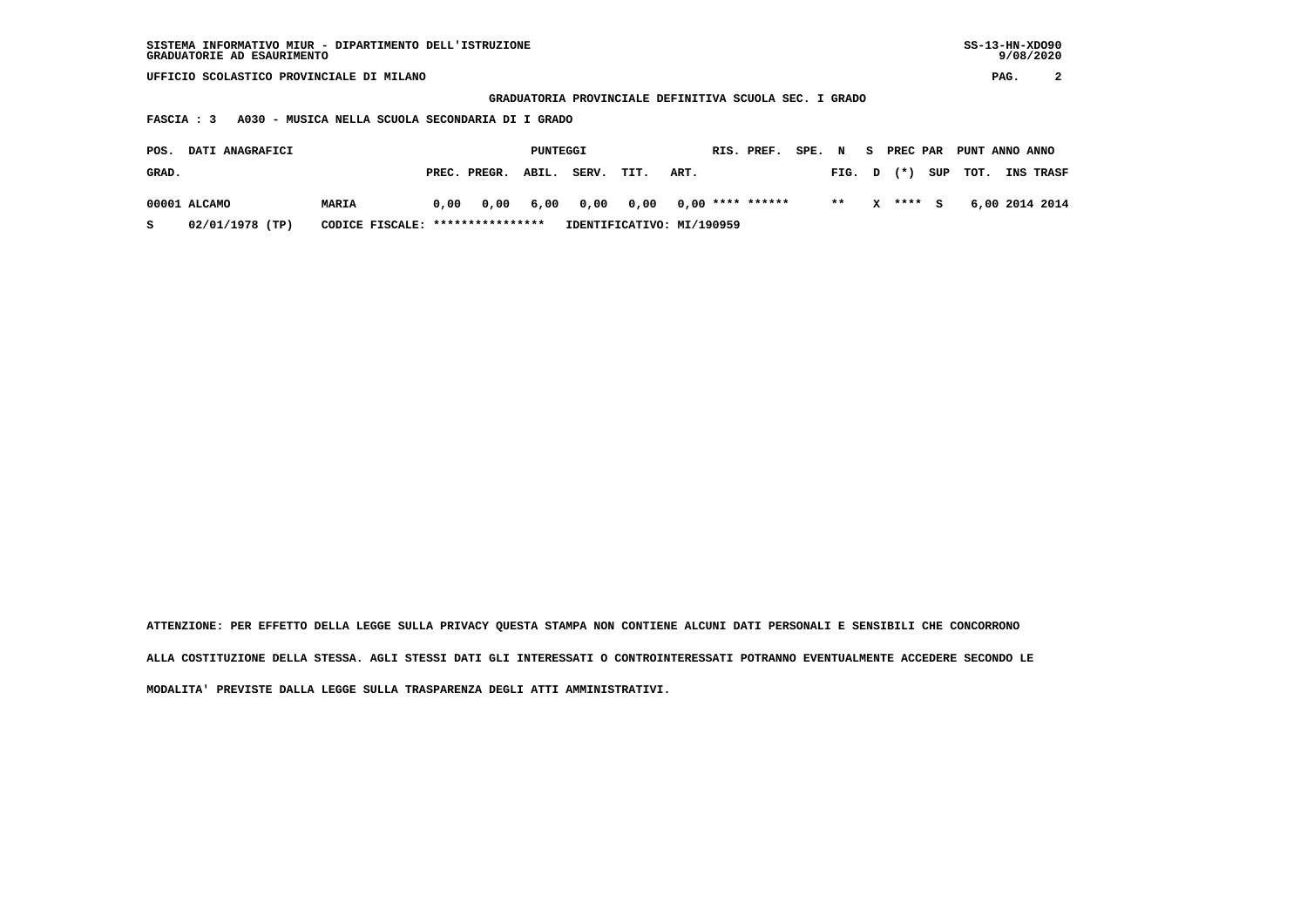| SISTEMA INFORMATIVO MIUR - DIPARTIMENTO DELL'ISTRUZIONE | $SS-13-HN-XDO90$ |
|---------------------------------------------------------|------------------|
| GRADUATORIE AD ESAURIMENTO                              | 9/08/2020        |
|                                                         |                  |

 **UFFICIO SCOLASTICO PROVINCIALE DI MILANO PAG. 2**

 **GRADUATORIA PROVINCIALE DEFINITIVA SCUOLA SEC. I GRADO**

 **FASCIA : 3 A030 - MUSICA NELLA SCUOLA SECONDARIA DI I GRADO**

| <b>DATI ANAGRAFICI</b><br>POS.<br>PUNTEGGI |                 |                                  |      |                    |  | RIS. PREF.                | SPE. N                |      | S PREC PAR | PUNT ANNO ANNO |        |          |                |                  |
|--------------------------------------------|-----------------|----------------------------------|------|--------------------|--|---------------------------|-----------------------|------|------------|----------------|--------|----------|----------------|------------------|
| GRAD.                                      |                 |                                  |      | PREC. PREGR. ABIL. |  | SERV.                     | TIT.                  | ART. |            |                | FIG. D |          | $(*)$ SUP TOT. | <b>INS TRASF</b> |
|                                            | 00001 ALCAMO    | MARIA                            | 0.00 |                    |  | 0,00 6,00 0,00            | 0,00 0,00 **** ****** |      |            |                | $* *$  | X **** S |                | 6,00 2014 2014   |
| s                                          | 02/01/1978 (TP) | CODICE FISCALE: **************** |      |                    |  | IDENTIFICATIVO: MI/190959 |                       |      |            |                |        |          |                |                  |

 **ATTENZIONE: PER EFFETTO DELLA LEGGE SULLA PRIVACY QUESTA STAMPA NON CONTIENE ALCUNI DATI PERSONALI E SENSIBILI CHE CONCORRONO ALLA COSTITUZIONE DELLA STESSA. AGLI STESSI DATI GLI INTERESSATI O CONTROINTERESSATI POTRANNO EVENTUALMENTE ACCEDERE SECONDO LE MODALITA' PREVISTE DALLA LEGGE SULLA TRASPARENZA DEGLI ATTI AMMINISTRATIVI.**